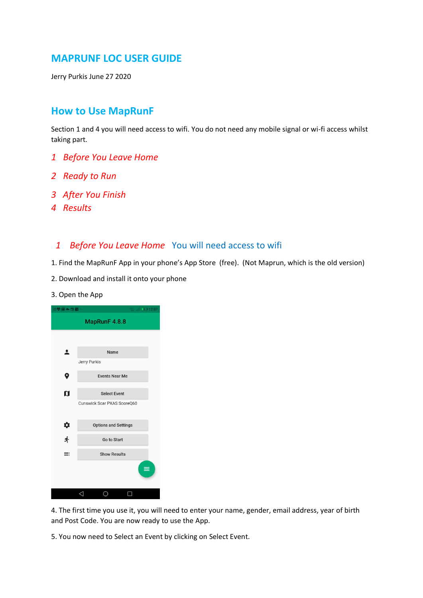# **MAPRUNF LOC USER GUIDE**

Jerry Purkis June 27 2020

# **How to Use MapRunF**

Section 1 and 4 you will need access to wifi. You do not need any mobile signal or wi-fi access whilst taking part.

- *1 Before You Leave Home*
- *2 Ready to Run*
- *3 After You Finish*
- *4 Results*

#### *1 Before You Leave Home* You will need access to wifi

1. Find the MapRunF App in your phone's App Store (free). (Not Maprun, which is the old version)

- 2. Download and install it onto your phone
- 3. Open the App

| iD梦图 ▲ 回答…    | $\therefore$ all $\blacksquare$ 12:07              |  |  |  |  |
|---------------|----------------------------------------------------|--|--|--|--|
| MapRunF 4.8.8 |                                                    |  |  |  |  |
|               |                                                    |  |  |  |  |
| ఽ             | Name                                               |  |  |  |  |
|               | Jerry Purkis                                       |  |  |  |  |
| 9             | <b>Events Near Me</b>                              |  |  |  |  |
|               |                                                    |  |  |  |  |
| ៧             | <b>Select Event</b><br>Cunswick Scar PXAS ScoreQ60 |  |  |  |  |
|               |                                                    |  |  |  |  |
|               | <b>Options and Settings</b>                        |  |  |  |  |
| 办术            | Go to Start                                        |  |  |  |  |
| ≡             | <b>Show Results</b>                                |  |  |  |  |
|               | ≡                                                  |  |  |  |  |
|               |                                                    |  |  |  |  |

4. The first time you use it, you will need to enter your name, gender, email address, year of birth and Post Code. You are now ready to use the App.

5. You now need to Select an Event by clicking on Select Event.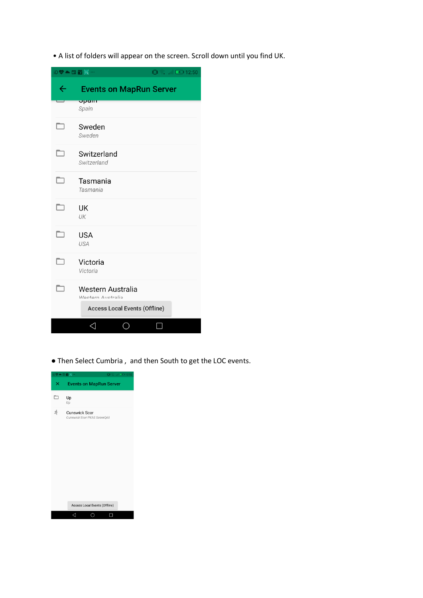• A list of folders will appear on the screen. Scroll down until you find UK.

| iD <sup>\$</sup> ▲ 国前网… |                                                                                       | 旧念 . ■ 图 12:50 |  |
|-------------------------|---------------------------------------------------------------------------------------|----------------|--|
| ←                       | <b>Events on MapRun Server</b>                                                        |                |  |
|                         | opalli<br>Spain                                                                       |                |  |
|                         | Sweden<br>Sweden                                                                      |                |  |
| ┐                       | Switzerland<br>Switzerland                                                            |                |  |
|                         | Tasmania<br>Tasmania                                                                  |                |  |
|                         | UK<br>UK                                                                              |                |  |
|                         | <b>USA</b><br>USA                                                                     |                |  |
|                         | Victoria<br>Victoria                                                                  |                |  |
|                         | Western Australia<br><i>Mactorn Auctrolio</i><br><b>Access Local Events (Offline)</b> |                |  |
|                         | ◁                                                                                     |                |  |

● Then Select Cumbria , and then South to get the LOC events.

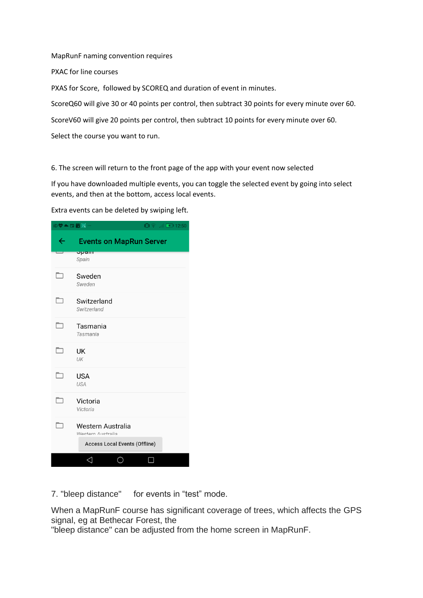MapRunF naming convention requires

PXAC for line courses

PXAS for Score, followed by SCOREQ and duration of event in minutes.

ScoreQ60 will give 30 or 40 points per control, then subtract 30 points for every minute over 60.

ScoreV60 will give 20 points per control, then subtract 10 points for every minute over 60.

Select the course you want to run.

6. The screen will return to the front page of the app with your event now selected

If you have downloaded multiple events, you can toggle the selected event by going into select events, and then at the bottom, access local events.

Extra events can be deleted by swiping left.

|                                | iD♥▲国苗网…<br> 12:50  11  全  12:50                                               |  |  |
|--------------------------------|--------------------------------------------------------------------------------|--|--|
| <b>Events on MapRun Server</b> |                                                                                |  |  |
|                                | opalit<br>Spain                                                                |  |  |
|                                | Sweden<br>Sweden                                                               |  |  |
| ┓                              | Switzerland<br>Switzerland                                                     |  |  |
| ┑                              | Tasmania<br>Tasmania                                                           |  |  |
|                                | UK<br>UK                                                                       |  |  |
|                                | <b>USA</b><br>USA                                                              |  |  |
|                                | Victoria<br>Victoria                                                           |  |  |
|                                | Western Australia<br>Western Australia<br><b>Access Local Events (Offline)</b> |  |  |
|                                |                                                                                |  |  |

7. "bleep distance" for events in "test" mode.

When a MapRunF course has significant coverage of trees, which affects the GPS signal, eg at Bethecar Forest, the

"bleep distance" can be adjusted from the home screen in MapRunF.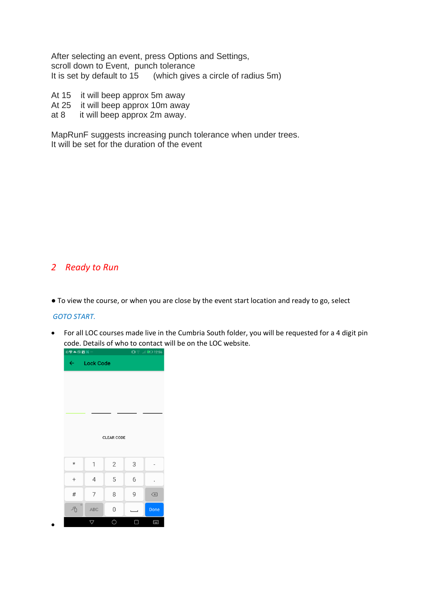After selecting an event, press Options and Settings, scroll down to Event, punch tolerance It is set by default to 15 (which gives a circle of radius 5m)

- At 15 it will beep approx 5m away
- At 25 it will beep approx 10m away
- at 8 it will beep approx 2m away.

MapRunF suggests increasing punch tolerance when under trees. It will be set for the duration of the event

### *2 Ready to Run*

● To view the course, or when you are close by the event start location and ready to go, select

#### *GOTO START.*

•

• For all LOC courses made live in the Cumbria South folder, you will be requested for a 4 digit pin code. Details of who to contact will be on the LOC website.

| iD♥▲田苗图…           |                  |            |   | 旧令  ■ 12:56                              |  |  |
|--------------------|------------------|------------|---|------------------------------------------|--|--|
| $\leftarrow$       | <b>Lock Code</b> |            |   |                                          |  |  |
|                    |                  |            |   |                                          |  |  |
|                    |                  |            |   |                                          |  |  |
|                    |                  |            |   |                                          |  |  |
|                    |                  |            |   |                                          |  |  |
| <b>CLEAR CODE</b>  |                  |            |   |                                          |  |  |
|                    |                  |            |   |                                          |  |  |
| $^\star$           | 1                | $\sqrt{2}$ | 3 |                                          |  |  |
| $\ddot{}$          | 4                | 5          | 6 |                                          |  |  |
| $\#$               | 7                | 8          | 9 | $\left\langle \overline{x}\right\rangle$ |  |  |
| $\mathcal{O}$<br>A | ABC              | 0          | ─ | Done                                     |  |  |
|                    | P                | О          | Ο | 圛                                        |  |  |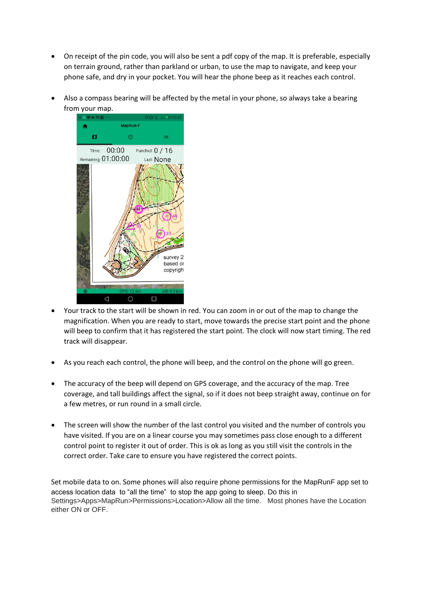- On receipt of the pin code, you will also be sent a pdf copy of the map. It is preferable, especially on terrain ground, rather than parkland or urban, to use the map to navigate, and keep your phone safe, and dry in your pocket. You will hear the phone beep as it reaches each control.
- Also a compass bearing will be affected by the metal in your phone, so always take a bearing from your map.



- Your track to the start will be shown in red. You can zoom in or out of the map to change the magnification. When you are ready to start, move towards the precise start point and the phone will beep to confirm that it has registered the start point. The clock will now start timing. The red track will disappear.
- As you reach each control, the phone will beep, and the control on the phone will go green.
- The accuracy of the beep will depend on GPS coverage, and the accuracy of the map. Tree coverage, and tall buildings affect the signal, so if it does not beep straight away, continue on for a few metres, or run round in a small circle.
- The screen will show the number of the last control you visited and the number of controls you have visited. If you are on a linear course you may sometimes pass close enough to a different control point to register it out of order. This is ok as long as you still visit the controls in the correct order. Take care to ensure you have registered the correct points.

Set mobile data to on. Some phones will also require phone permissions for the MapRunF app set to access location data to "all the time" to stop the app going to sleep. Do this in Settings>Apps>MapRun>Permissions>Location>Allow all the time. Most phones have the Location either ON or OFF.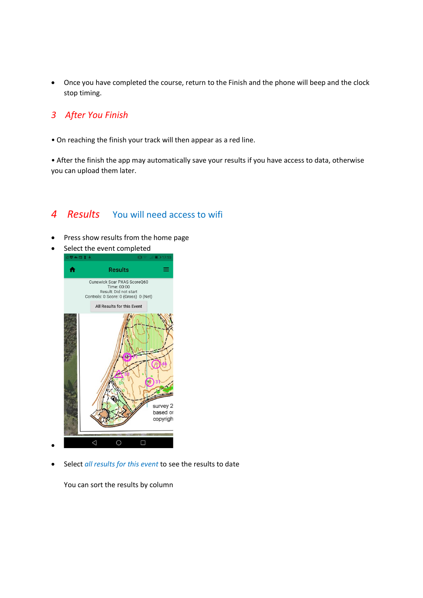• Once you have completed the course, return to the Finish and the phone will beep and the clock stop timing.

## *3 After You Finish*

• On reaching the finish your track will then appear as a red line.

• After the finish the app may automatically save your results if you have access to data, otherwise you can upload them later.

## *4 Results* You will need access to wifi

- Press show results from the home page
- Select the event completed



• Select *all results for this event* to see the results to date

You can sort the results by column

•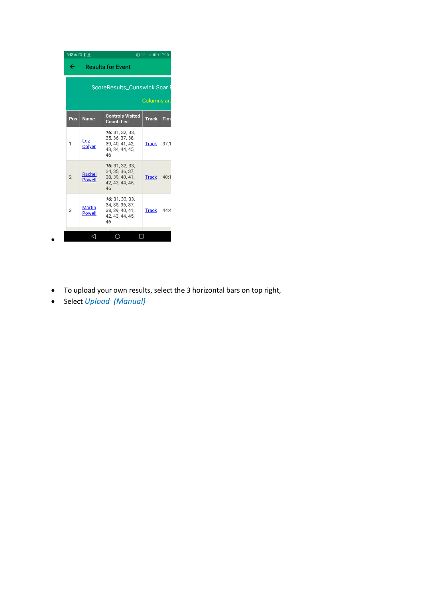|                | 1D♥▲田【土<br>扣拿<br>$    $ $  $ 17:10                        |                                                                                |              |            |  |  |  |  |
|----------------|-----------------------------------------------------------|--------------------------------------------------------------------------------|--------------|------------|--|--|--|--|
| ←              | <b>Results for Event</b>                                  |                                                                                |              |            |  |  |  |  |
|                | <b>ScoreResults_Cunswick Scar F</b><br><b>Columns</b> are |                                                                                |              |            |  |  |  |  |
| Pos            | <b>Name</b>                                               | <b>Controls Visited</b><br><b>Count: List</b>                                  | <b>Track</b> | <b>Tim</b> |  |  |  |  |
| 1              | Loz<br>Colyer                                             | 16: 31. 32. 33.<br>35, 36, 37, 38,<br>39, 40, 41, 42,<br>43, 34, 44, 45,<br>46 | <b>Track</b> | 37:1       |  |  |  |  |
| $\overline{2}$ | Rachel<br><b>Powell</b>                                   | 16: 31, 32, 33,<br>34, 35, 36, 37,<br>38, 39, 40, 41,<br>42, 43, 44, 45,<br>46 | <b>Track</b> | 40:1       |  |  |  |  |
| 3              | <b>Martin</b><br><b>Powell</b>                            | 16: 31, 32, 33,<br>34, 35, 36, 37,<br>38, 39, 40, 41,<br>42, 43, 44, 45,<br>46 | <b>Track</b> | 44.4       |  |  |  |  |
|                |                                                           |                                                                                |              |            |  |  |  |  |

- To upload your own results, select the 3 horizontal bars on top right,
- Select *Upload (Manual)*

•